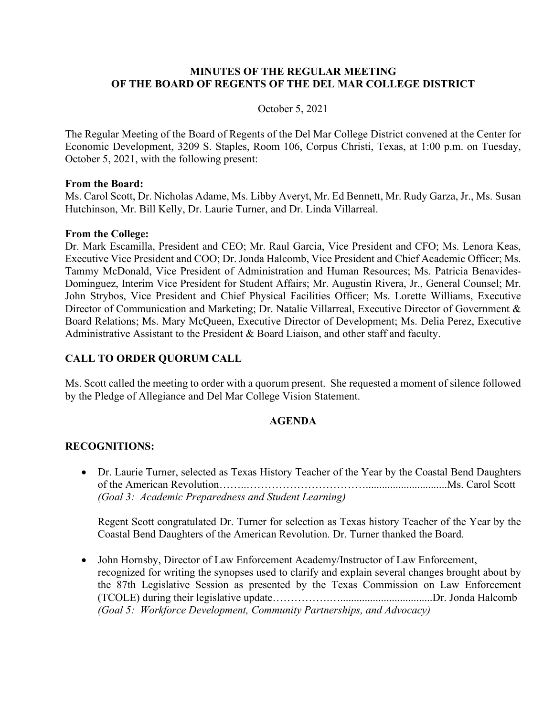### **MINUTES OF THE REGULAR MEETING OF THE BOARD OF REGENTS OF THE DEL MAR COLLEGE DISTRICT**

#### October 5, 2021

The Regular Meeting of the Board of Regents of the Del Mar College District convened at the Center for Economic Development, 3209 S. Staples, Room 106, Corpus Christi, Texas, at 1:00 p.m. on Tuesday, October 5, 2021, with the following present:

#### **From the Board:**

Ms. Carol Scott, Dr. Nicholas Adame, Ms. Libby Averyt, Mr. Ed Bennett, Mr. Rudy Garza, Jr., Ms. Susan Hutchinson, Mr. Bill Kelly, Dr. Laurie Turner, and Dr. Linda Villarreal.

#### **From the College:**

Dr. Mark Escamilla, President and CEO; Mr. Raul Garcia, Vice President and CFO; Ms. Lenora Keas, Executive Vice President and COO; Dr. Jonda Halcomb, Vice President and Chief Academic Officer; Ms. Tammy McDonald, Vice President of Administration and Human Resources; Ms. Patricia Benavides-Dominguez, Interim Vice President for Student Affairs; Mr. Augustin Rivera, Jr., General Counsel; Mr. John Strybos, Vice President and Chief Physical Facilities Officer; Ms. Lorette Williams, Executive Director of Communication and Marketing; Dr. Natalie Villarreal, Executive Director of Government & Board Relations; Ms. Mary McQueen, Executive Director of Development; Ms. Delia Perez, Executive Administrative Assistant to the President & Board Liaison, and other staff and faculty.

### **CALL TO ORDER QUORUM CALL**

Ms. Scott called the meeting to order with a quorum present. She requested a moment of silence followed by the Pledge of Allegiance and Del Mar College Vision Statement.

### **AGENDA**

### **RECOGNITIONS:**

• Dr. Laurie Turner, selected as Texas History Teacher of the Year by the Coastal Bend Daughters of the American Revolution……..……………………………..............................Ms. Carol Scott *(Goal 3: Academic Preparedness and Student Learning)*

Regent Scott congratulated Dr. Turner for selection as Texas history Teacher of the Year by the Coastal Bend Daughters of the American Revolution. Dr. Turner thanked the Board.

• John Hornsby, Director of Law Enforcement Academy/Instructor of Law Enforcement, recognized for writing the synopses used to clarify and explain several changes brought about by the 87th Legislative Session as presented by the Texas Commission on Law Enforcement (TCOLE) during their legislative update…………….…..................................Dr. Jonda Halcomb *(Goal 5: Workforce Development, Community Partnerships, and Advocacy)*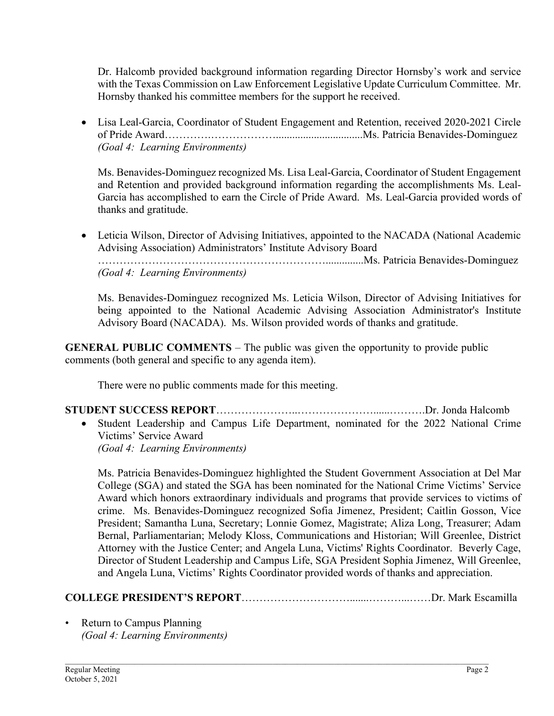Dr. Halcomb provided background information regarding Director Hornsby's work and service with the Texas Commission on Law Enforcement Legislative Update Curriculum Committee. Mr. Hornsby thanked his committee members for the support he received.

• Lisa Leal-Garcia, Coordinator of Student Engagement and Retention, received 2020-2021 Circle of Pride Award…………………………………………………………Ms. Patricia Benavides-Dominguez *(Goal 4: Learning Environments)*

Ms. Benavides-Dominguez recognized Ms. Lisa Leal-Garcia, Coordinator of Student Engagement and Retention and provided background information regarding the accomplishments Ms. Leal-Garcia has accomplished to earn the Circle of Pride Award. Ms. Leal-Garcia provided words of thanks and gratitude.

• Leticia Wilson, Director of Advising Initiatives, appointed to the NACADA (National Academic Advising Association) Administrators' Institute Advisory Board ………………………………………………………..............Ms. Patricia Benavides-Dominguez *(Goal 4: Learning Environments)*

Ms. Benavides-Dominguez recognized Ms. Leticia Wilson, Director of Advising Initiatives for being appointed to the National Academic Advising Association Administrator's Institute Advisory Board (NACADA). Ms. Wilson provided words of thanks and gratitude.

**GENERAL PUBLIC COMMENTS** – The public was given the opportunity to provide public comments (both general and specific to any agenda item).

There were no public comments made for this meeting.

**STUDENT SUCCESS REPORT**…………………..…………………......……….Dr. Jonda Halcomb • Student Leadership and Campus Life Department, nominated for the 2022 National Crime Victims' Service Award *(Goal 4: Learning Environments)*

Ms. Patricia Benavides-Dominguez highlighted the Student Government Association at Del Mar College (SGA) and stated the SGA has been nominated for the National Crime Victims' Service Award which honors extraordinary individuals and programs that provide services to victims of crime. Ms. Benavides-Dominguez recognized Sofia Jimenez, President; Caitlin Gosson, Vice President; Samantha Luna, Secretary; Lonnie Gomez, Magistrate; Aliza Long, Treasurer; Adam Bernal, Parliamentarian; Melody Kloss, Communications and Historian; Will Greenlee, District Attorney with the Justice Center; and Angela Luna, Victims' Rights Coordinator. Beverly Cage, Director of Student Leadership and Campus Life, SGA President Sophia Jimenez, Will Greenlee, and Angela Luna, Victims' Rights Coordinator provided words of thanks and appreciation.

# **COLLEGE PRESIDENT'S REPORT**………………………….......………...……Dr. Mark Escamilla

• Return to Campus Planning *(Goal 4: Learning Environments)*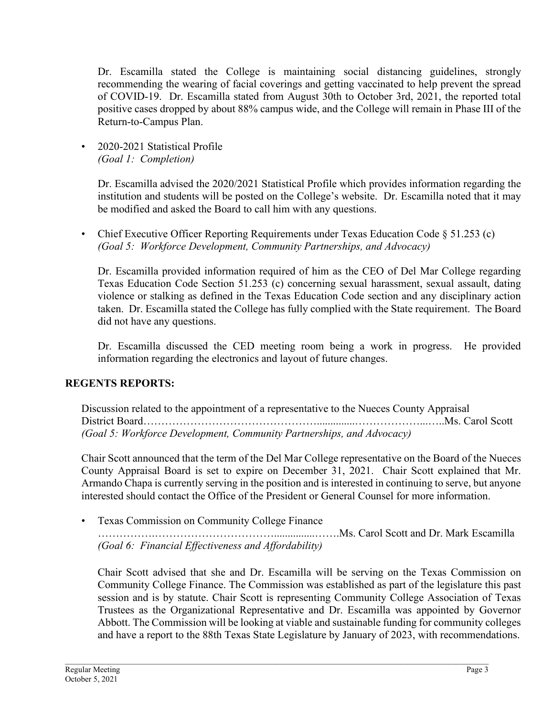Dr. Escamilla stated the College is maintaining social distancing guidelines, strongly recommending the wearing of facial coverings and getting vaccinated to help prevent the spread of COVID-19. Dr. Escamilla stated from August 30th to October 3rd, 2021, the reported total positive cases dropped by about 88% campus wide, and the College will remain in Phase III of the Return-to-Campus Plan.

• 2020-2021 Statistical Profile *(Goal 1: Completion)*

> Dr. Escamilla advised the 2020/2021 Statistical Profile which provides information regarding the institution and students will be posted on the College's website. Dr. Escamilla noted that it may be modified and asked the Board to call him with any questions.

• Chief Executive Officer Reporting Requirements under Texas Education Code § 51.253 (c) *(Goal 5: Workforce Development, Community Partnerships, and Advocacy)*

Dr. Escamilla provided information required of him as the CEO of Del Mar College regarding Texas Education Code Section 51.253 (c) concerning sexual harassment, sexual assault, dating violence or stalking as defined in the Texas Education Code section and any disciplinary action taken. Dr. Escamilla stated the College has fully complied with the State requirement. The Board did not have any questions.

Dr. Escamilla discussed the CED meeting room being a work in progress. He provided information regarding the electronics and layout of future changes.

# **REGENTS REPORTS:**

Discussion related to the appointment of a representative to the Nueces County Appraisal District Board…………………………………………..............………………...…..Ms. Carol Scott *(Goal 5: Workforce Development, Community Partnerships, and Advocacy)*

Chair Scott announced that the term of the Del Mar College representative on the Board of the Nueces County Appraisal Board is set to expire on December 31, 2021. Chair Scott explained that Mr. Armando Chapa is currently serving in the position and is interested in continuing to serve, but anyone interested should contact the Office of the President or General Counsel for more information.

• Texas Commission on Community College Finance

…………….……………………………...............…….Ms. Carol Scott and Dr. Mark Escamilla *(Goal 6: Financial Effectiveness and Affordability)*

Chair Scott advised that she and Dr. Escamilla will be serving on the Texas Commission on Community College Finance. The Commission was established as part of the legislature this past session and is by statute. Chair Scott is representing Community College Association of Texas Trustees as the Organizational Representative and Dr. Escamilla was appointed by Governor Abbott. The Commission will be looking at viable and sustainable funding for community colleges and have a report to the 88th Texas State Legislature by January of 2023, with recommendations.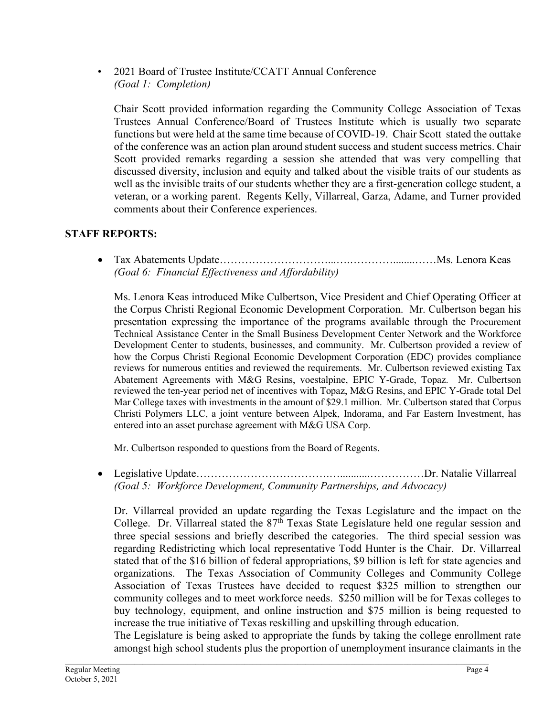• 2021 Board of Trustee Institute/CCATT Annual Conference *(Goal 1: Completion)*

Chair Scott provided information regarding the Community College Association of Texas Trustees Annual Conference/Board of Trustees Institute which is usually two separate functions but were held at the same time because of COVID-19. Chair Scott stated the outtake of the conference was an action plan around student success and student success metrics. Chair Scott provided remarks regarding a session she attended that was very compelling that discussed diversity, inclusion and equity and talked about the visible traits of our students as well as the invisible traits of our students whether they are a first-generation college student, a veteran, or a working parent. Regents Kelly, Villarreal, Garza, Adame, and Turner provided comments about their Conference experiences.

# **STAFF REPORTS:**

• Tax Abatements Update…………………………...….…………........……Ms. Lenora Keas *(Goal 6: Financial Effectiveness and Affordability)*

Ms. Lenora Keas introduced Mike Culbertson, Vice President and Chief Operating Officer at the Corpus Christi Regional Economic Development Corporation. Mr. Culbertson began his presentation expressing the importance of the programs available through the Procurement Technical Assistance Center in the Small Business Development Center Network and the Workforce Development Center to students, businesses, and community. Mr. Culbertson provided a review of how the Corpus Christi Regional Economic Development Corporation (EDC) provides compliance reviews for numerous entities and reviewed the requirements. Mr. Culbertson reviewed existing Tax Abatement Agreements with M&G Resins, voestalpine, EPIC Y-Grade, Topaz. Mr. Culbertson reviewed the ten-year period net of incentives with Topaz, M&G Resins, and EPIC Y-Grade total Del Mar College taxes with investments in the amount of \$29.1 million. Mr. Culbertson stated that Corpus Christi Polymers LLC, a joint venture between Alpek, Indorama, and Far Eastern Investment, has entered into an asset purchase agreement with M&G USA Corp.

Mr. Culbertson responded to questions from the Board of Regents.

• Legislative Update……………………………….…...........……………Dr. Natalie Villarreal *(Goal 5: Workforce Development, Community Partnerships, and Advocacy)*

Dr. Villarreal provided an update regarding the Texas Legislature and the impact on the College. Dr. Villarreal stated the 87<sup>th</sup> Texas State Legislature held one regular session and three special sessions and briefly described the categories. The third special session was regarding Redistricting which local representative Todd Hunter is the Chair. Dr. Villarreal stated that of the \$16 billion of federal appropriations, \$9 billion is left for state agencies and organizations. The Texas Association of Community Colleges and Community College Association of Texas Trustees have decided to request \$325 million to strengthen our community colleges and to meet workforce needs. \$250 million will be for Texas colleges to buy technology, equipment, and online instruction and \$75 million is being requested to increase the true initiative of Texas reskilling and upskilling through education.

The Legislature is being asked to appropriate the funds by taking the college enrollment rate amongst high school students plus the proportion of unemployment insurance claimants in the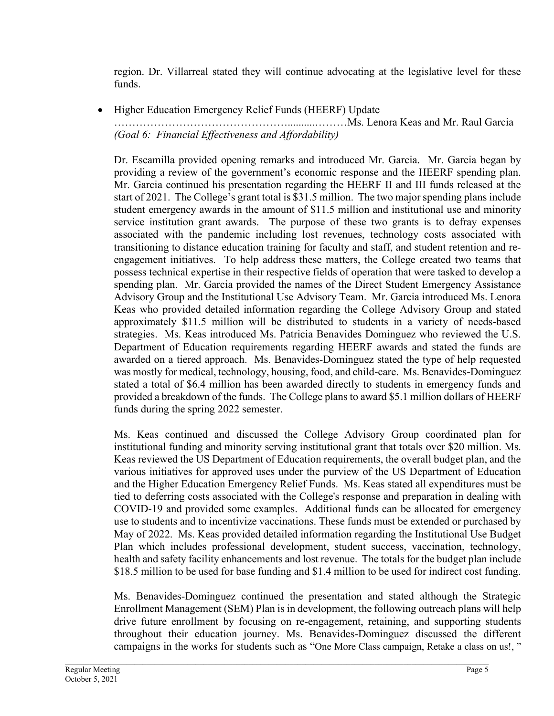region. Dr. Villarreal stated they will continue advocating at the legislative level for these funds.

• Higher Education Emergency Relief Funds (HEERF) Update

…………………………………………..........………Ms. Lenora Keas and Mr. Raul Garcia *(Goal 6: Financial Effectiveness and Affordability)*

Dr. Escamilla provided opening remarks and introduced Mr. Garcia. Mr. Garcia began by providing a review of the government's economic response and the HEERF spending plan. Mr. Garcia continued his presentation regarding the HEERF II and III funds released at the start of 2021. The College's grant total is \$31.5 million. The two major spending plans include student emergency awards in the amount of \$11.5 million and institutional use and minority service institution grant awards. The purpose of these two grants is to defray expenses associated with the pandemic including lost revenues, technology costs associated with transitioning to distance education training for faculty and staff, and student retention and reengagement initiatives. To help address these matters, the College created two teams that possess technical expertise in their respective fields of operation that were tasked to develop a spending plan. Mr. Garcia provided the names of the Direct Student Emergency Assistance Advisory Group and the Institutional Use Advisory Team. Mr. Garcia introduced Ms. Lenora Keas who provided detailed information regarding the College Advisory Group and stated approximately \$11.5 million will be distributed to students in a variety of needs-based strategies. Ms. Keas introduced Ms. Patricia Benavides Dominguez who reviewed the U.S. Department of Education requirements regarding HEERF awards and stated the funds are awarded on a tiered approach. Ms. Benavides-Dominguez stated the type of help requested was mostly for medical, technology, housing, food, and child-care. Ms. Benavides-Dominguez stated a total of \$6.4 million has been awarded directly to students in emergency funds and provided a breakdown of the funds. The College plans to award \$5.1 million dollars of HEERF funds during the spring 2022 semester.

Ms. Keas continued and discussed the College Advisory Group coordinated plan for institutional funding and minority serving institutional grant that totals over \$20 million. Ms. Keas reviewed the US Department of Education requirements, the overall budget plan, and the various initiatives for approved uses under the purview of the US Department of Education and the Higher Education Emergency Relief Funds. Ms. Keas stated all expenditures must be tied to deferring costs associated with the College's response and preparation in dealing with COVID-19 and provided some examples. Additional funds can be allocated for emergency use to students and to incentivize vaccinations. These funds must be extended or purchased by May of 2022. Ms. Keas provided detailed information regarding the Institutional Use Budget Plan which includes professional development, student success, vaccination, technology, health and safety facility enhancements and lost revenue. The totals for the budget plan include \$18.5 million to be used for base funding and \$1.4 million to be used for indirect cost funding.

Ms. Benavides-Dominguez continued the presentation and stated although the Strategic Enrollment Management (SEM) Plan is in development, the following outreach plans will help drive future enrollment by focusing on re-engagement, retaining, and supporting students throughout their education journey. Ms. Benavides-Dominguez discussed the different campaigns in the works for students such as "One More Class campaign, Retake a class on us!, "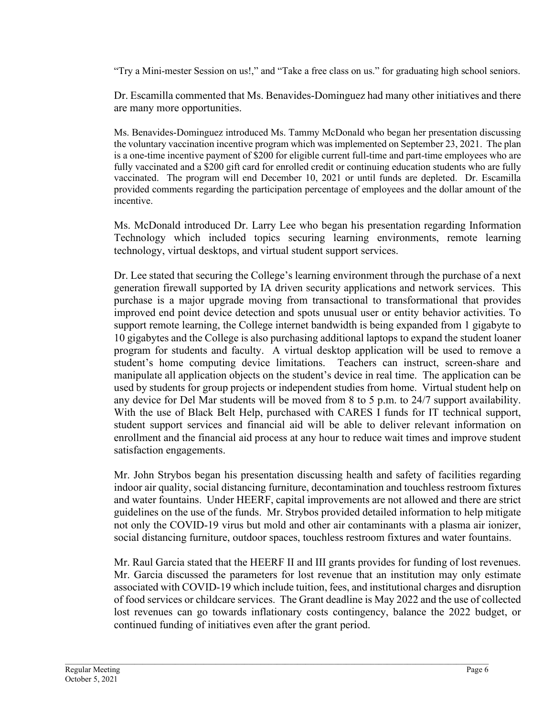"Try a Mini-mester Session on us!," and "Take a free class on us." for graduating high school seniors.

Dr. Escamilla commented that Ms. Benavides-Dominguez had many other initiatives and there are many more opportunities.

Ms. Benavides-Dominguez introduced Ms. Tammy McDonald who began her presentation discussing the voluntary vaccination incentive program which was implemented on September 23, 2021. The plan is a one-time incentive payment of \$200 for eligible current full-time and part-time employees who are fully vaccinated and a \$200 gift card for enrolled credit or continuing education students who are fully vaccinated. The program will end December 10, 2021 or until funds are depleted. Dr. Escamilla provided comments regarding the participation percentage of employees and the dollar amount of the incentive.

Ms. McDonald introduced Dr. Larry Lee who began his presentation regarding Information Technology which included topics securing learning environments, remote learning technology, virtual desktops, and virtual student support services.

Dr. Lee stated that securing the College's learning environment through the purchase of a next generation firewall supported by IA driven security applications and network services. This purchase is a major upgrade moving from transactional to transformational that provides improved end point device detection and spots unusual user or entity behavior activities. To support remote learning, the College internet bandwidth is being expanded from 1 gigabyte to 10 gigabytes and the College is also purchasing additional laptops to expand the student loaner program for students and faculty. A virtual desktop application will be used to remove a student's home computing device limitations. Teachers can instruct, screen-share and manipulate all application objects on the student's device in real time. The application can be used by students for group projects or independent studies from home. Virtual student help on any device for Del Mar students will be moved from 8 to 5 p.m. to 24/7 support availability. With the use of Black Belt Help, purchased with CARES I funds for IT technical support, student support services and financial aid will be able to deliver relevant information on enrollment and the financial aid process at any hour to reduce wait times and improve student satisfaction engagements.

Mr. John Strybos began his presentation discussing health and safety of facilities regarding indoor air quality, social distancing furniture, decontamination and touchless restroom fixtures and water fountains. Under HEERF, capital improvements are not allowed and there are strict guidelines on the use of the funds. Mr. Strybos provided detailed information to help mitigate not only the COVID-19 virus but mold and other air contaminants with a plasma air ionizer, social distancing furniture, outdoor spaces, touchless restroom fixtures and water fountains.

Mr. Raul Garcia stated that the HEERF II and III grants provides for funding of lost revenues. Mr. Garcia discussed the parameters for lost revenue that an institution may only estimate associated with COVID-19 which include tuition, fees, and institutional charges and disruption of food services or childcare services. The Grant deadline is May 2022 and the use of collected lost revenues can go towards inflationary costs contingency, balance the 2022 budget, or continued funding of initiatives even after the grant period.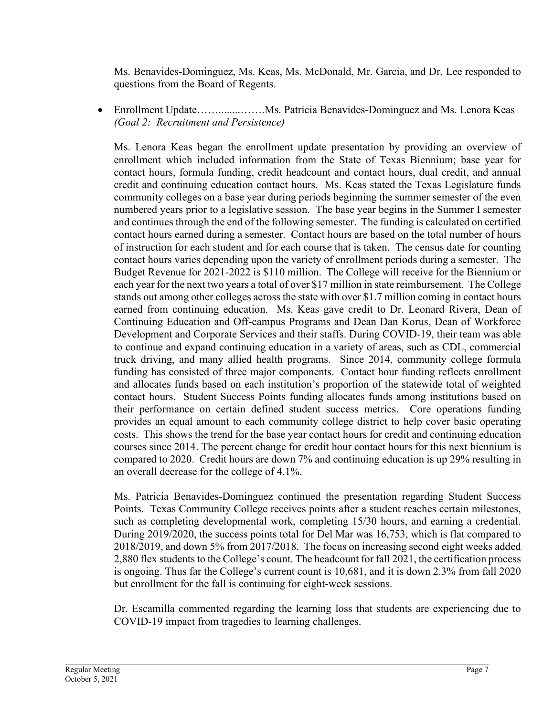Ms. Benavides-Dominguez, Ms. Keas, Ms. McDonald, Mr. Garcia, and Dr. Lee responded to questions from the Board of Regents.

• Enrollment Update……........…….Ms. Patricia Benavides-Dominguez and Ms. Lenora Keas *(Goal 2: Recruitment and Persistence)*

Ms. Lenora Keas began the enrollment update presentation by providing an overview of enrollment which included information from the State of Texas Biennium; base year for contact hours, formula funding, credit headcount and contact hours, dual credit, and annual credit and continuing education contact hours. Ms. Keas stated the Texas Legislature funds community colleges on a base year during periods beginning the summer semester of the even numbered years prior to a legislative session. The base year begins in the Summer I semester and continues through the end of the following semester. The funding is calculated on certified contact hours earned during a semester. Contact hours are based on the total number of hours of instruction for each student and for each course that is taken. The census date for counting contact hours varies depending upon the variety of enrollment periods during a semester. The Budget Revenue for 2021-2022 is \$110 million. The College will receive for the Biennium or each year for the next two years a total of over \$17 million in state reimbursement. The College stands out among other colleges across the state with over \$1.7 million coming in contact hours earned from continuing education. Ms. Keas gave credit to Dr. Leonard Rivera, Dean of Continuing Education and Off-campus Programs and Dean Dan Korus, Dean of Workforce Development and Corporate Services and their staffs. During COVID-19, their team was able to continue and expand continuing education in a variety of areas, such as CDL, commercial truck driving, and many allied health programs. Since 2014, community college formula funding has consisted of three major components. Contact hour funding reflects enrollment and allocates funds based on each institution's proportion of the statewide total of weighted contact hours. Student Success Points funding allocates funds among institutions based on their performance on certain defined student success metrics. Core operations funding provides an equal amount to each community college district to help cover basic operating costs. This shows the trend for the base year contact hours for credit and continuing education courses since 2014. The percent change for credit hour contact hours for this next biennium is compared to 2020. Credit hours are down 7% and continuing education is up 29% resulting in an overall decrease for the college of 4.1%.

Ms. Patricia Benavides-Dominguez continued the presentation regarding Student Success Points. Texas Community College receives points after a student reaches certain milestones, such as completing developmental work, completing 15/30 hours, and earning a credential. During 2019/2020, the success points total for Del Mar was 16,753, which is flat compared to 2018/2019, and down 5% from 2017/2018. The focus on increasing second eight weeks added 2,880 flex students to the College's count. The headcount for fall 2021, the certification process is ongoing. Thus far the College's current count is 10,681, and it is down 2.3% from fall 2020 but enrollment for the fall is continuing for eight-week sessions.

Dr. Escamilla commented regarding the learning loss that students are experiencing due to COVID-19 impact from tragedies to learning challenges.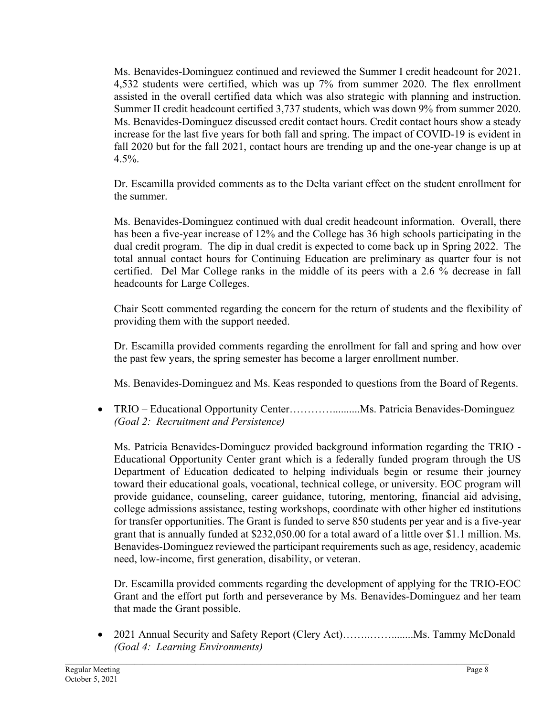Ms. Benavides-Dominguez continued and reviewed the Summer I credit headcount for 2021. 4,532 students were certified, which was up 7% from summer 2020. The flex enrollment assisted in the overall certified data which was also strategic with planning and instruction. Summer II credit headcount certified 3,737 students, which was down 9% from summer 2020. Ms. Benavides-Dominguez discussed credit contact hours. Credit contact hours show a steady increase for the last five years for both fall and spring. The impact of COVID-19 is evident in fall 2020 but for the fall 2021, contact hours are trending up and the one-year change is up at 4.5%.

Dr. Escamilla provided comments as to the Delta variant effect on the student enrollment for the summer.

Ms. Benavides-Dominguez continued with dual credit headcount information. Overall, there has been a five-year increase of 12% and the College has 36 high schools participating in the dual credit program. The dip in dual credit is expected to come back up in Spring 2022. The total annual contact hours for Continuing Education are preliminary as quarter four is not certified. Del Mar College ranks in the middle of its peers with a 2.6 % decrease in fall headcounts for Large Colleges.

Chair Scott commented regarding the concern for the return of students and the flexibility of providing them with the support needed.

Dr. Escamilla provided comments regarding the enrollment for fall and spring and how over the past few years, the spring semester has become a larger enrollment number.

Ms. Benavides-Dominguez and Ms. Keas responded to questions from the Board of Regents.

• TRIO – Educational Opportunity Center……………………Ms. Patricia Benavides-Dominguez *(Goal 2: Recruitment and Persistence)*

Ms. Patricia Benavides-Dominguez provided background information regarding the TRIO - Educational Opportunity Center grant which is a federally funded program through the US Department of Education dedicated to helping individuals begin or resume their journey toward their educational goals, vocational, technical college, or university. EOC program will provide guidance, counseling, career guidance, tutoring, mentoring, financial aid advising, college admissions assistance, testing workshops, coordinate with other higher ed institutions for transfer opportunities. The Grant is funded to serve 850 students per year and is a five-year grant that is annually funded at \$232,050.00 for a total award of a little over \$1.1 million. Ms. Benavides-Dominguez reviewed the participant requirements such as age, residency, academic need, low-income, first generation, disability, or veteran.

Dr. Escamilla provided comments regarding the development of applying for the TRIO-EOC Grant and the effort put forth and perseverance by Ms. Benavides-Dominguez and her team that made the Grant possible.

• 2021 Annual Security and Safety Report (Clery Act)……..……........Ms. Tammy McDonald *(Goal 4: Learning Environments)*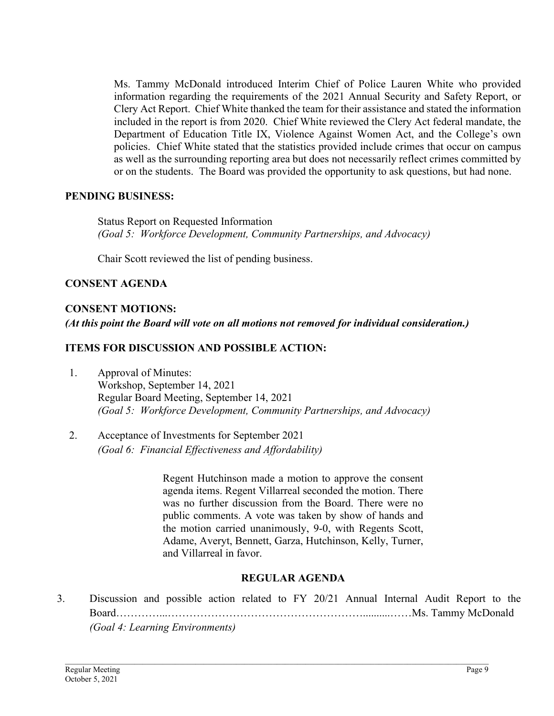Ms. Tammy McDonald introduced Interim Chief of Police Lauren White who provided information regarding the requirements of the 2021 Annual Security and Safety Report, or Clery Act Report. Chief White thanked the team for their assistance and stated the information included in the report is from 2020. Chief White reviewed the Clery Act federal mandate, the Department of Education Title IX, Violence Against Women Act, and the College's own policies. Chief White stated that the statistics provided include crimes that occur on campus as well as the surrounding reporting area but does not necessarily reflect crimes committed by or on the students. The Board was provided the opportunity to ask questions, but had none.

### **PENDING BUSINESS:**

Status Report on Requested Information *(Goal 5: Workforce Development, Community Partnerships, and Advocacy)*

Chair Scott reviewed the list of pending business.

## **CONSENT AGENDA**

## **CONSENT MOTIONS:**

*(At this point the Board will vote on all motions not removed for individual consideration.)* 

## **ITEMS FOR DISCUSSION AND POSSIBLE ACTION:**

- 1. Approval of Minutes: Workshop, September 14, 2021 Regular Board Meeting, September 14, 2021 *(Goal 5: Workforce Development, Community Partnerships, and Advocacy)*
- 2. Acceptance of Investments for September 2021 *(Goal 6: Financial Effectiveness and Affordability)*

Regent Hutchinson made a motion to approve the consent agenda items. Regent Villarreal seconded the motion. There was no further discussion from the Board. There were no public comments. A vote was taken by show of hands and the motion carried unanimously, 9-0, with Regents Scott, Adame, Averyt, Bennett, Garza, Hutchinson, Kelly, Turner, and Villarreal in favor.

## **REGULAR AGENDA**

3. Discussion and possible action related to FY 20/21 Annual Internal Audit Report to the Board…………...………………………………………………..........……Ms. Tammy McDonald *(Goal 4: Learning Environments)*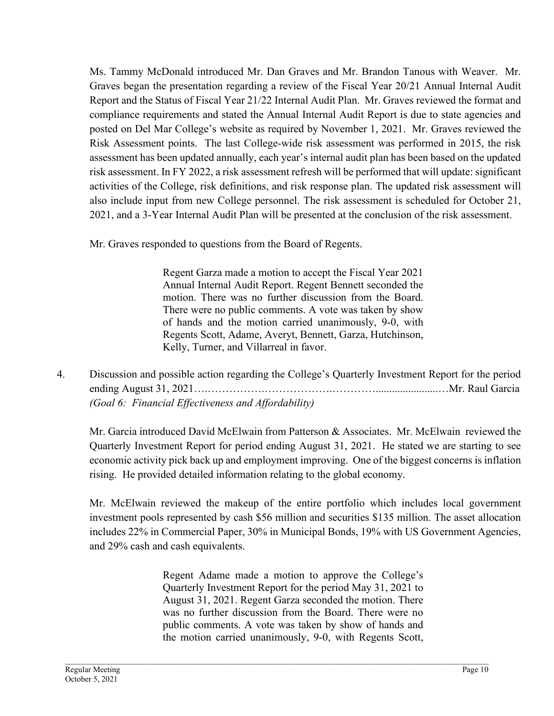Ms. Tammy McDonald introduced Mr. Dan Graves and Mr. Brandon Tanous with Weaver. Mr. Graves began the presentation regarding a review of the Fiscal Year 20/21 Annual Internal Audit Report and the Status of Fiscal Year 21/22 Internal Audit Plan. Mr. Graves reviewed the format and compliance requirements and stated the Annual Internal Audit Report is due to state agencies and posted on Del Mar College's website as required by November 1, 2021. Mr. Graves reviewed the Risk Assessment points. The last College-wide risk assessment was performed in 2015, the risk assessment has been updated annually, each year's internal audit plan has been based on the updated risk assessment. In FY 2022, a risk assessment refresh will be performed that will update: significant activities of the College, risk definitions, and risk response plan. The updated risk assessment will also include input from new College personnel. The risk assessment is scheduled for October 21, 2021, and a 3-Year Internal Audit Plan will be presented at the conclusion of the risk assessment.

Mr. Graves responded to questions from the Board of Regents.

Regent Garza made a motion to accept the Fiscal Year 2021 Annual Internal Audit Report. Regent Bennett seconded the motion. There was no further discussion from the Board. There were no public comments. A vote was taken by show of hands and the motion carried unanimously, 9-0, with Regents Scott, Adame, Averyt, Bennett, Garza, Hutchinson, Kelly, Turner, and Villarreal in favor.

4. Discussion and possible action regarding the College's Quarterly Investment Report for the period ending August 31, 2021….…………….……………….………….......................…Mr. Raul Garcia *(Goal 6: Financial Effectiveness and Affordability)*

Mr. Garcia introduced David McElwain from Patterson & Associates. Mr. McElwain reviewed the Quarterly Investment Report for period ending August 31, 2021. He stated we are starting to see economic activity pick back up and employment improving. One of the biggest concerns is inflation rising. He provided detailed information relating to the global economy.

Mr. McElwain reviewed the makeup of the entire portfolio which includes local government investment pools represented by cash \$56 million and securities \$135 million. The asset allocation includes 22% in Commercial Paper, 30% in Municipal Bonds, 19% with US Government Agencies, and 29% cash and cash equivalents.

> Regent Adame made a motion to approve the College's Quarterly Investment Report for the period May 31, 2021 to August 31, 2021. Regent Garza seconded the motion. There was no further discussion from the Board. There were no public comments. A vote was taken by show of hands and the motion carried unanimously, 9-0, with Regents Scott,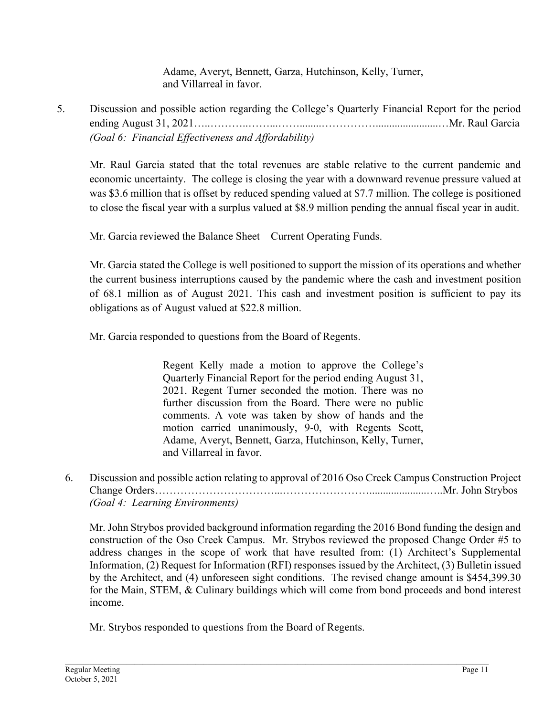Adame, Averyt, Bennett, Garza, Hutchinson, Kelly, Turner, and Villarreal in favor.

5. Discussion and possible action regarding the College's Quarterly Financial Report for the period ending August 31, 2021…..………..……...……........…………….......................…Mr. Raul Garcia *(Goal 6: Financial Effectiveness and Affordability)*

Mr. Raul Garcia stated that the total revenues are stable relative to the current pandemic and economic uncertainty. The college is closing the year with a downward revenue pressure valued at was \$3.6 million that is offset by reduced spending valued at \$7.7 million. The college is positioned to close the fiscal year with a surplus valued at \$8.9 million pending the annual fiscal year in audit.

Mr. Garcia reviewed the Balance Sheet – Current Operating Funds.

Mr. Garcia stated the College is well positioned to support the mission of its operations and whether the current business interruptions caused by the pandemic where the cash and investment position of 68.1 million as of August 2021. This cash and investment position is sufficient to pay its obligations as of August valued at \$22.8 million.

Mr. Garcia responded to questions from the Board of Regents.

Regent Kelly made a motion to approve the College's Quarterly Financial Report for the period ending August 31, 2021. Regent Turner seconded the motion. There was no further discussion from the Board. There were no public comments. A vote was taken by show of hands and the motion carried unanimously, 9-0, with Regents Scott, Adame, Averyt, Bennett, Garza, Hutchinson, Kelly, Turner, and Villarreal in favor.

6. Discussion and possible action relating to approval of 2016 Oso Creek Campus Construction Project Change Orders……………………………...…………………….....................…..Mr. John Strybos *(Goal 4: Learning Environments)*

Mr. John Strybos provided background information regarding the 2016 Bond funding the design and construction of the Oso Creek Campus. Mr. Strybos reviewed the proposed Change Order #5 to address changes in the scope of work that have resulted from: (1) Architect's Supplemental Information, (2) Request for Information (RFI) responses issued by the Architect, (3) Bulletin issued by the Architect, and (4) unforeseen sight conditions. The revised change amount is \$454,399.30 for the Main, STEM, & Culinary buildings which will come from bond proceeds and bond interest income.

Mr. Strybos responded to questions from the Board of Regents.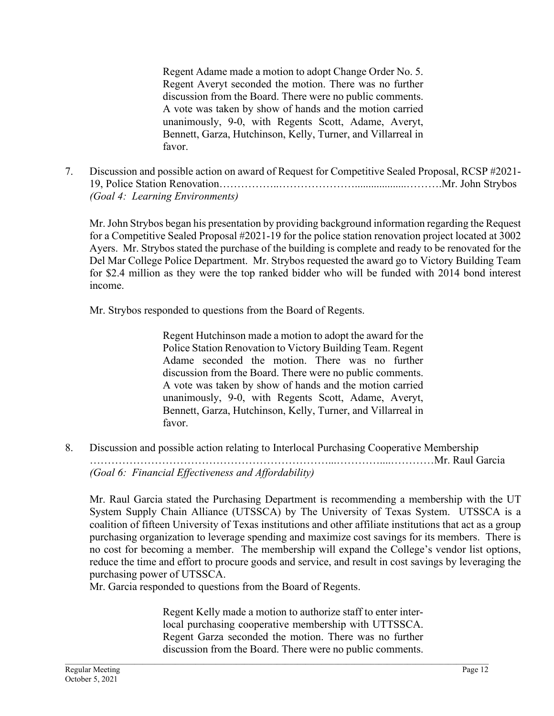Regent Adame made a motion to adopt Change Order No. 5. Regent Averyt seconded the motion. There was no further discussion from the Board. There were no public comments. A vote was taken by show of hands and the motion carried unanimously, 9-0, with Regents Scott, Adame, Averyt, Bennett, Garza, Hutchinson, Kelly, Turner, and Villarreal in favor.

7. Discussion and possible action on award of Request for Competitive Sealed Proposal, RCSP #2021- 19, Police Station Renovation……………..…………………...................……….Mr. John Strybos *(Goal 4: Learning Environments)*

Mr. John Strybos began his presentation by providing background information regarding the Request for a Competitive Sealed Proposal #2021-19 for the police station renovation project located at 3002 Ayers. Mr. Strybos stated the purchase of the building is complete and ready to be renovated for the Del Mar College Police Department. Mr. Strybos requested the award go to Victory Building Team for \$2.4 million as they were the top ranked bidder who will be funded with 2014 bond interest income.

Mr. Strybos responded to questions from the Board of Regents.

Regent Hutchinson made a motion to adopt the award for the Police Station Renovation to Victory Building Team. Regent Adame seconded the motion. There was no further discussion from the Board. There were no public comments. A vote was taken by show of hands and the motion carried unanimously, 9-0, with Regents Scott, Adame, Averyt, Bennett, Garza, Hutchinson, Kelly, Turner, and Villarreal in favor.

8. Discussion and possible action relating to Interlocal Purchasing Cooperative Membership …………………………………………………………...…………....…………Mr. Raul Garcia *(Goal 6: Financial Effectiveness and Affordability)*

Mr. Raul Garcia stated the Purchasing Department is recommending a membership with the UT System Supply Chain Alliance (UTSSCA) by The University of Texas System. UTSSCA is a coalition of fifteen University of Texas institutions and other affiliate institutions that act as a group purchasing organization to leverage spending and maximize cost savings for its members. There is no cost for becoming a member. The membership will expand the College's vendor list options, reduce the time and effort to procure goods and service, and result in cost savings by leveraging the purchasing power of UTSSCA.

Mr. Garcia responded to questions from the Board of Regents.

Regent Kelly made a motion to authorize staff to enter interlocal purchasing cooperative membership with UTTSSCA. Regent Garza seconded the motion. There was no further discussion from the Board. There were no public comments.